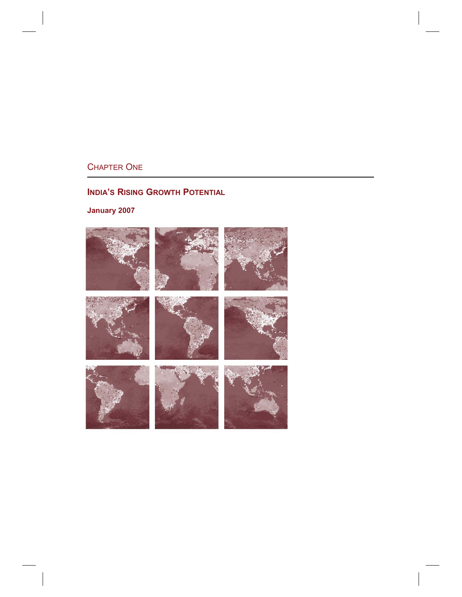# CHAPTER ONE

# **INDIA'S RISING GROWTH POTENTIAL**

**January 2007** 

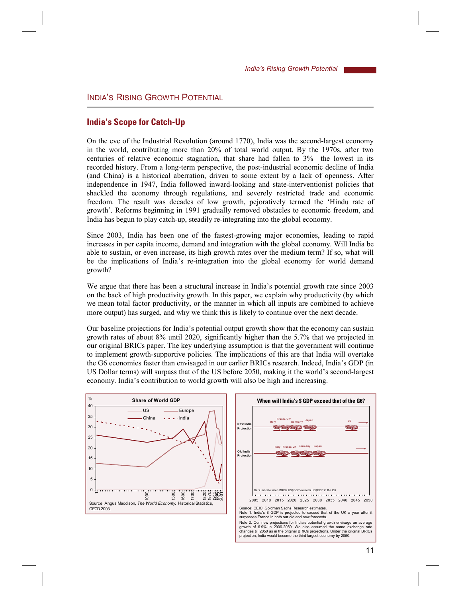# INDIAíS RISING GROWTH POTENTIAL

# **India's Scope for Catch-Up**

On the eve of the Industrial Revolution (around 1770), India was the second-largest economy in the world, contributing more than 20% of total world output. By the 1970s, after two centuries of relative economic stagnation, that share had fallen to  $3\%$ —the lowest in its recorded history. From a long-term perspective, the post-industrial economic decline of India (and China) is a historical aberration, driven to some extent by a lack of openness. After independence in 1947, India followed inward-looking and state-interventionist policies that shackled the economy through regulations, and severely restricted trade and economic freedom. The result was decades of low growth, pejoratively termed the ëHindu rate of growth'. Reforms beginning in 1991 gradually removed obstacles to economic freedom, and India has begun to play catch-up, steadily re-integrating into the global economy.

Since 2003, India has been one of the fastest-growing major economies, leading to rapid increases in per capita income, demand and integration with the global economy. Will India be able to sustain, or even increase, its high growth rates over the medium term? If so, what will be the implications of India's re-integration into the global economy for world demand growth?

We argue that there has been a structural increase in India's potential growth rate since 2003 on the back of high productivity growth. In this paper, we explain why productivity (by which we mean total factor productivity, or the manner in which all inputs are combined to achieve more output) has surged, and why we think this is likely to continue over the next decade.

Our baseline projections for Indiaís potential output growth show that the economy can sustain growth rates of about 8% until 2020, significantly higher than the 5.7% that we projected in our original BRICs paper. The key underlying assumption is that the government will continue to implement growth-supportive policies. The implications of this are that India will overtake the G6 economies faster than envisaged in our earlier BRICs research. Indeed, Indiaís GDP (in US Dollar terms) will surpass that of the US before 2050, making it the world's second-largest economy. India's contribution to world growth will also be high and increasing.



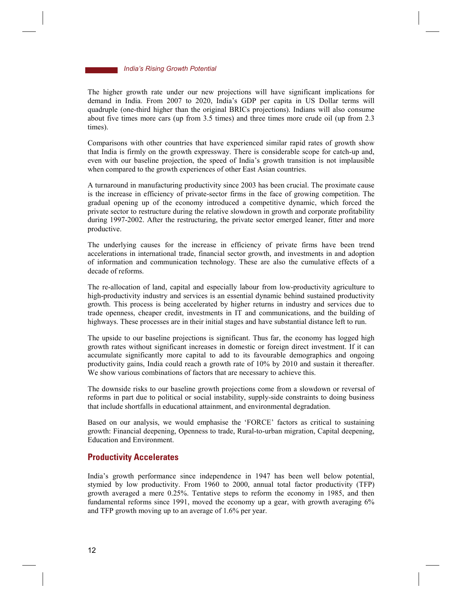The higher growth rate under our new projections will have significant implications for demand in India. From 2007 to 2020, Indiaís GDP per capita in US Dollar terms will quadruple (one-third higher than the original BRICs projections). Indians will also consume about five times more cars (up from 3.5 times) and three times more crude oil (up from 2.3 times).

Comparisons with other countries that have experienced similar rapid rates of growth show that India is firmly on the growth expressway. There is considerable scope for catch-up and, even with our baseline projection, the speed of Indiaís growth transition is not implausible when compared to the growth experiences of other East Asian countries.

A turnaround in manufacturing productivity since 2003 has been crucial. The proximate cause is the increase in efficiency of private-sector firms in the face of growing competition. The gradual opening up of the economy introduced a competitive dynamic, which forced the private sector to restructure during the relative slowdown in growth and corporate profitability during 1997-2002. After the restructuring, the private sector emerged leaner, fitter and more productive.

The underlying causes for the increase in efficiency of private firms have been trend accelerations in international trade, financial sector growth, and investments in and adoption of information and communication technology. These are also the cumulative effects of a decade of reforms.

The re-allocation of land, capital and especially labour from low-productivity agriculture to high-productivity industry and services is an essential dynamic behind sustained productivity growth. This process is being accelerated by higher returns in industry and services due to trade openness, cheaper credit, investments in IT and communications, and the building of highways. These processes are in their initial stages and have substantial distance left to run.

The upside to our baseline projections is significant. Thus far, the economy has logged high growth rates without significant increases in domestic or foreign direct investment. If it can accumulate significantly more capital to add to its favourable demographics and ongoing productivity gains, India could reach a growth rate of 10% by 2010 and sustain it thereafter. We show various combinations of factors that are necessary to achieve this.

The downside risks to our baseline growth projections come from a slowdown or reversal of reforms in part due to political or social instability, supply-side constraints to doing business that include shortfalls in educational attainment, and environmental degradation.

Based on our analysis, we would emphasise the 'FORCE' factors as critical to sustaining growth: Financial deepening, Openness to trade, Rural-to-urban migration, Capital deepening, Education and Environment.

### **Productivity Accelerates**

Indiaís growth performance since independence in 1947 has been well below potential, stymied by low productivity. From 1960 to 2000, annual total factor productivity (TFP) growth averaged a mere 0.25%. Tentative steps to reform the economy in 1985, and then fundamental reforms since 1991, moved the economy up a gear, with growth averaging 6% and TFP growth moving up to an average of 1.6% per year.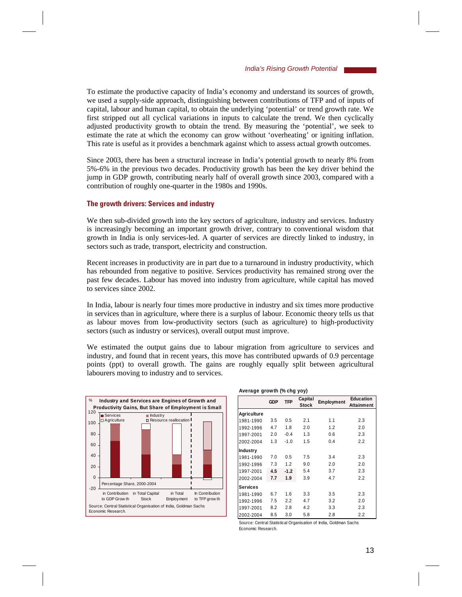To estimate the productive capacity of India's economy and understand its sources of growth, we used a supply-side approach, distinguishing between contributions of TFP and of inputs of capital, labour and human capital, to obtain the underlying 'potential' or trend growth rate. We first stripped out all cyclical variations in inputs to calculate the trend. We then cyclically adjusted productivity growth to obtain the trend. By measuring the 'potential', we seek to estimate the rate at which the economy can grow without 'overheating' or igniting inflation. This rate is useful as it provides a benchmark against which to assess actual growth outcomes.

Since 2003, there has been a structural increase in India's potential growth to nearly 8% from 5%-6% in the previous two decades. Productivity growth has been the key driver behind the jump in GDP growth, contributing nearly half of overall growth since 2003, compared with a contribution of roughly one-quarter in the 1980s and 1990s.

#### **The growth drivers: Services and industry**

We then sub-divided growth into the key sectors of agriculture, industry and services. Industry is increasingly becoming an important growth driver, contrary to conventional wisdom that growth in India is only services-led. A quarter of services are directly linked to industry, in sectors such as trade, transport, electricity and construction.

Recent increases in productivity are in part due to a turnaround in industry productivity, which has rebounded from negative to positive. Services productivity has remained strong over the past few decades. Labour has moved into industry from agriculture, while capital has moved to services since 2002.

In India, labour is nearly four times more productive in industry and six times more productive in services than in agriculture, where there is a surplus of labour. Economic theory tells us that as labour moves from low-productivity sectors (such as agriculture) to high-productivity sectors (such as industry or services), overall output must improve.

We estimated the output gains due to labour migration from agriculture to services and industry, and found that in recent years, this move has contributed upwards of 0.9 percentage points (ppt) to overall growth. The gains are roughly equally split between agricultural labourers moving to industry and to services.



| Average growth (% chg yoy) |            |            |                         |            |                                       |
|----------------------------|------------|------------|-------------------------|------------|---------------------------------------|
|                            | <b>GDP</b> | <b>TFP</b> | Capital<br><b>Stock</b> | Employment | <b>Education</b><br><b>Attainment</b> |
| Agriculture                |            |            |                         |            |                                       |
| 1981-1990                  | 3.5        | 0.5        | 2.1                     | 1.1        | 2.3                                   |
| 1992-1996                  | 4.7        | 1.8        | 2.0                     | 1.2        | 2.0                                   |
| 1997-2001                  | 2.0        | $-0.4$     | 1.3                     | 0.6        | 2.3                                   |
| 2002-2004                  | 1.3        | $-1.0$     | 1.5                     | 0.4        | 2.2                                   |
| Industry                   |            |            |                         |            |                                       |
| 1981-1990                  | 7.0        | 0.5        | 7.5                     | 3.4        | 2.3                                   |
| 1992-1996                  | 7.3        | 1.2        | 9.0                     | 2.0        | 2.0                                   |
| 1997-2001                  | 4.5        | $-1.2$     | 5.4                     | 3.7        | 2.3                                   |
| 2002-2004                  | 7.7        | 1.9        | 3.9                     | 4.7        | 2.2                                   |
| <b>Services</b>            |            |            |                         |            |                                       |
| 1981-1990                  | 6.7        | 1.6        | 3.3                     | 3.5        | 2.3                                   |
| 1992-1996                  | 7.5        | 2.2        | 4.7                     | 3.2        | 2.0                                   |
| 1997-2001                  | 8.2        | 2.8        | 4.2                     | 3.3        | 2.3                                   |
| 2002-2004                  | 8.5        | 3.0        | 5.8                     | 2.8        | 2.2                                   |

Source: Central Statistical Organisation of India, Goldman Sachs Economic Research.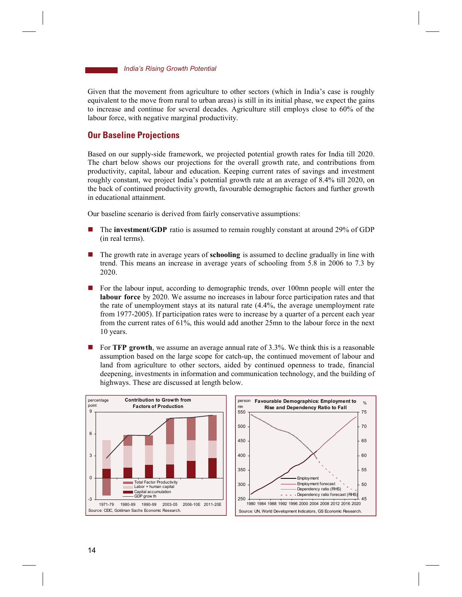Given that the movement from agriculture to other sectors (which in India's case is roughly equivalent to the move from rural to urban areas) is still in its initial phase, we expect the gains to increase and continue for several decades. Agriculture still employs close to 60% of the labour force, with negative marginal productivity.

### **Our Baseline Projections**

Based on our supply-side framework, we projected potential growth rates for India till 2020. The chart below shows our projections for the overall growth rate, and contributions from productivity, capital, labour and education. Keeping current rates of savings and investment roughly constant, we project India's potential growth rate at an average of 8.4% till 2020, on the back of continued productivity growth, favourable demographic factors and further growth in educational attainment.

Our baseline scenario is derived from fairly conservative assumptions:

- ! The **investment/GDP** ratio is assumed to remain roughly constant at around 29% of GDP (in real terms).
- ! The growth rate in average years of **schooling** is assumed to decline gradually in line with trend. This means an increase in average years of schooling from 5.8 in 2006 to 7.3 by 2020.
- ! For the labour input, according to demographic trends, over 100mn people will enter the **labour force** by 2020. We assume no increases in labour force participation rates and that the rate of unemployment stays at its natural rate (4.4%, the average unemployment rate from 1977-2005). If participation rates were to increase by a quarter of a percent each year from the current rates of 61%, this would add another 25mn to the labour force in the next 10 years.
- ! For **TFP growth**, we assume an average annual rate of 3.3%. We think this is a reasonable assumption based on the large scope for catch-up, the continued movement of labour and land from agriculture to other sectors, aided by continued openness to trade, financial deepening, investments in information and communication technology, and the building of highways. These are discussed at length below.



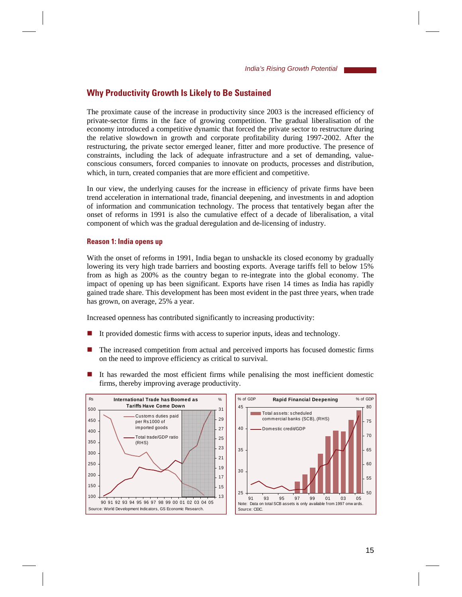### **Why Productivity Growth Is Likely to Be Sustained**

The proximate cause of the increase in productivity since 2003 is the increased efficiency of private-sector firms in the face of growing competition. The gradual liberalisation of the economy introduced a competitive dynamic that forced the private sector to restructure during the relative slowdown in growth and corporate profitability during 1997-2002. After the restructuring, the private sector emerged leaner, fitter and more productive. The presence of constraints, including the lack of adequate infrastructure and a set of demanding, valueconscious consumers, forced companies to innovate on products, processes and distribution, which, in turn, created companies that are more efficient and competitive.

In our view, the underlying causes for the increase in efficiency of private firms have been trend acceleration in international trade, financial deepening, and investments in and adoption of information and communication technology. The process that tentatively began after the onset of reforms in 1991 is also the cumulative effect of a decade of liberalisation, a vital component of which was the gradual deregulation and de-licensing of industry.

#### **Reason 1: India opens up**

With the onset of reforms in 1991, India began to unshackle its closed economy by gradually lowering its very high trade barriers and boosting exports. Average tariffs fell to below 15% from as high as 200% as the country began to re-integrate into the global economy. The impact of opening up has been significant. Exports have risen 14 times as India has rapidly gained trade share. This development has been most evident in the past three years, when trade has grown, on average, 25% a year.

Increased openness has contributed significantly to increasing productivity:

- It provided domestic firms with access to superior inputs, ideas and technology.
- The increased competition from actual and perceived imports has focused domestic firms on the need to improve efficiency as critical to survival.
- If has rewarded the most efficient firms while penalising the most inefficient domestic firms, thereby improving average productivity.



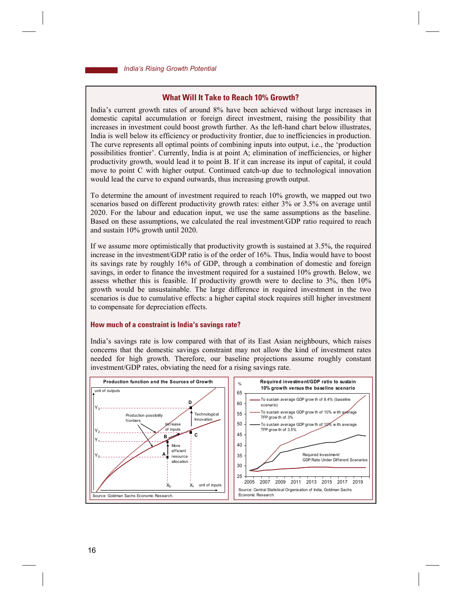### **What Will It Take to Reach 10% Growth?**

Indiaís current growth rates of around 8% have been achieved without large increases in domestic capital accumulation or foreign direct investment, raising the possibility that increases in investment could boost growth further. As the left-hand chart below illustrates, India is well below its efficiency or productivity frontier, due to inefficiencies in production. The curve represents all optimal points of combining inputs into output, i.e., the 'production possibilities frontier'. Currently, India is at point A; elimination of inefficiencies, or higher productivity growth, would lead it to point B. If it can increase its input of capital, it could move to point C with higher output. Continued catch-up due to technological innovation would lead the curve to expand outwards, thus increasing growth output.

To determine the amount of investment required to reach 10% growth, we mapped out two scenarios based on different productivity growth rates: either 3% or 3.5% on average until 2020. For the labour and education input, we use the same assumptions as the baseline. Based on these assumptions, we calculated the real investment/GDP ratio required to reach and sustain 10% growth until 2020.

If we assume more optimistically that productivity growth is sustained at 3.5%, the required increase in the investment/GDP ratio is of the order of 16%. Thus, India would have to boost its savings rate by roughly 16% of GDP, through a combination of domestic and foreign savings, in order to finance the investment required for a sustained 10% growth. Below, we assess whether this is feasible. If productivity growth were to decline to 3%, then 10% growth would be unsustainable. The large difference in required investment in the two scenarios is due to cumulative effects: a higher capital stock requires still higher investment to compensate for depreciation effects.

#### **How much of a constraint is India's savings rate?**

Indiaís savings rate is low compared with that of its East Asian neighbours, which raises concerns that the domestic savings constraint may not allow the kind of investment rates needed for high growth. Therefore, our baseline projections assume roughly constant investment/GDP rates, obviating the need for a rising savings rate.

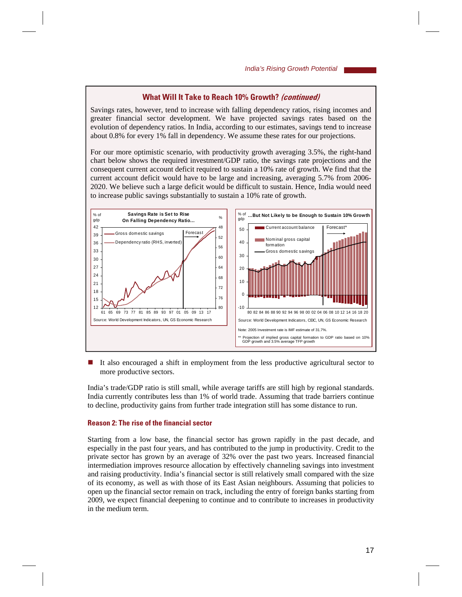### **What Will It Take to Reach 10% Growth? (continued)**

Savings rates, however, tend to increase with falling dependency ratios, rising incomes and greater financial sector development. We have projected savings rates based on the evolution of dependency ratios. In India, according to our estimates, savings tend to increase about 0.8% for every 1% fall in dependency. We assume these rates for our projections.

For our more optimistic scenario, with productivity growth averaging 3.5%, the right-hand chart below shows the required investment/GDP ratio, the savings rate projections and the consequent current account deficit required to sustain a 10% rate of growth. We find that the current account deficit would have to be large and increasing, averaging 5.7% from 2006- 2020. We believe such a large deficit would be difficult to sustain. Hence, India would need to increase public savings substantially to sustain a 10% rate of growth.



If also encouraged a shift in employment from the less productive agricultural sector to more productive sectors.

India's trade/GDP ratio is still small, while average tariffs are still high by regional standards. India currently contributes less than 1% of world trade. Assuming that trade barriers continue to decline, productivity gains from further trade integration still has some distance to run.

#### **Reason 2: The rise of the financial sector**

Starting from a low base, the financial sector has grown rapidly in the past decade, and especially in the past four years, and has contributed to the jump in productivity. Credit to the private sector has grown by an average of 32% over the past two years. Increased financial intermediation improves resource allocation by effectively channeling savings into investment and raising productivity. India's financial sector is still relatively small compared with the size of its economy, as well as with those of its East Asian neighbours. Assuming that policies to open up the financial sector remain on track, including the entry of foreign banks starting from 2009, we expect financial deepening to continue and to contribute to increases in productivity in the medium term.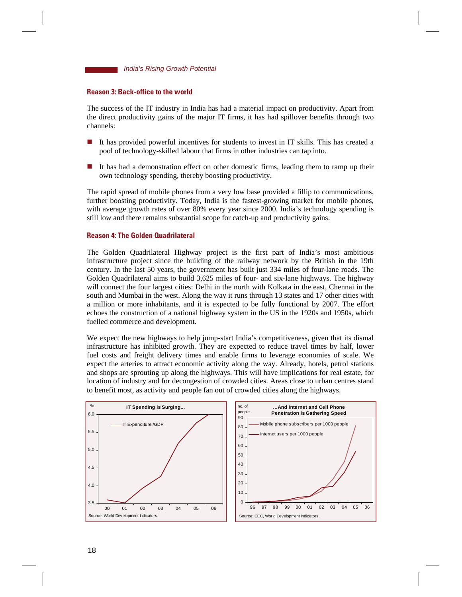

### **Reason 3: Back-office to the world**

The success of the IT industry in India has had a material impact on productivity. Apart from the direct productivity gains of the major IT firms, it has had spillover benefits through two channels:

- It has provided powerful incentives for students to invest in IT skills. This has created a pool of technology-skilled labour that firms in other industries can tap into.
- It has had a demonstration effect on other domestic firms, leading them to ramp up their own technology spending, thereby boosting productivity.

The rapid spread of mobile phones from a very low base provided a fillip to communications, further boosting productivity. Today, India is the fastest-growing market for mobile phones, with average growth rates of over 80% every year since 2000. India's technology spending is still low and there remains substantial scope for catch-up and productivity gains.

### **Reason 4: The Golden Quadrilateral**

The Golden Quadrilateral Highway project is the first part of India's most ambitious infrastructure project since the building of the railway network by the British in the 19th century. In the last 50 years, the government has built just 334 miles of four-lane roads. The Golden Quadrilateral aims to build 3,625 miles of four- and six-lane highways. The highway will connect the four largest cities: Delhi in the north with Kolkata in the east, Chennai in the south and Mumbai in the west. Along the way it runs through 13 states and 17 other cities with a million or more inhabitants, and it is expected to be fully functional by 2007. The effort echoes the construction of a national highway system in the US in the 1920s and 1950s, which fuelled commerce and development.

We expect the new highways to help jump-start India's competitiveness, given that its dismal infrastructure has inhibited growth. They are expected to reduce travel times by half, lower fuel costs and freight delivery times and enable firms to leverage economies of scale. We expect the arteries to attract economic activity along the way. Already, hotels, petrol stations and shops are sprouting up along the highways. This will have implications for real estate, for location of industry and for decongestion of crowded cities. Areas close to urban centres stand to benefit most, as activity and people fan out of crowded cities along the highways.



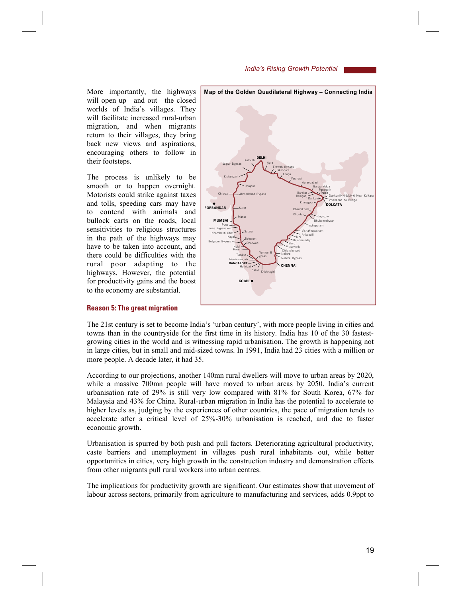More importantly, the highways will open up—and out—the closed worlds of India's villages. They will facilitate increased rural-urban migration, and when migrants return to their villages, they bring back new views and aspirations, encouraging others to follow in their footsteps.

The process is unlikely to be smooth or to happen overnight. Motorists could strike against taxes and tolls, speeding cars may have to contend with animals and bullock carts on the roads, local sensitivities to religious structures in the path of the highways may have to be taken into account, and there could be difficulties with the rural poor adapting to the highways. However, the potential for productivity gains and the boost to the economy are substantial.



#### **Reason 5: The great migration**

The 21st century is set to become India's 'urban century', with more people living in cities and towns than in the countryside for the first time in its history. India has 10 of the 30 fastestgrowing cities in the world and is witnessing rapid urbanisation. The growth is happening not in large cities, but in small and mid-sized towns. In 1991, India had 23 cities with a million or more people. A decade later, it had 35.

According to our projections, another 140mn rural dwellers will move to urban areas by 2020, while a massive 700mn people will have moved to urban areas by 2050. India's current urbanisation rate of 29% is still very low compared with 81% for South Korea, 67% for Malaysia and 43% for China. Rural-urban migration in India has the potential to accelerate to higher levels as, judging by the experiences of other countries, the pace of migration tends to accelerate after a critical level of 25%-30% urbanisation is reached, and due to faster economic growth.

Urbanisation is spurred by both push and pull factors. Deteriorating agricultural productivity, caste barriers and unemployment in villages push rural inhabitants out, while better opportunities in cities, very high growth in the construction industry and demonstration effects from other migrants pull rural workers into urban centres.

The implications for productivity growth are significant. Our estimates show that movement of labour across sectors, primarily from agriculture to manufacturing and services, adds 0.9ppt to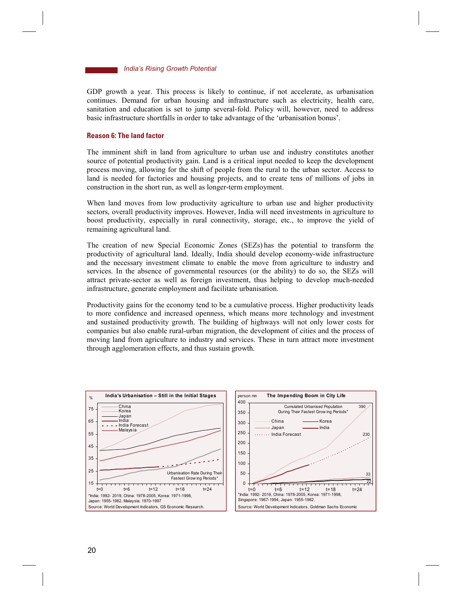

GDP growth a year. This process is likely to continue, if not accelerate, as urbanisation continues. Demand for urban housing and infrastructure such as electricity, health care, sanitation and education is set to jump several-fold. Policy will, however, need to address basic infrastructure shortfalls in order to take advantage of the ëurbanisation bonusí.

#### **Reason 6: The land factor**

The imminent shift in land from agriculture to urban use and industry constitutes another source of potential productivity gain. Land is a critical input needed to keep the development process moving, allowing for the shift of people from the rural to the urban sector. Access to land is needed for factories and housing projects, and to create tens of millions of jobs in construction in the short run, as well as longer-term employment.

When land moves from low productivity agriculture to urban use and higher productivity sectors, overall productivity improves. However, India will need investments in agriculture to boost productivity, especially in rural connectivity, storage, etc., to improve the yield of remaining agricultural land.

The creation of new Special Economic Zones (SEZs) has the potential to transform the productivity of agricultural land. Ideally, India should develop economy-wide infrastructure and the necessary investment climate to enable the move from agriculture to industry and services. In the absence of governmental resources (or the ability) to do so, the SEZs will attract private-sector as well as foreign investment, thus helping to develop much-needed infrastructure, generate employment and facilitate urbanisation.

Productivity gains for the economy tend to be a cumulative process. Higher productivity leads to more confidence and increased openness, which means more technology and investment and sustained productivity growth. The building of highways will not only lower costs for companies but also enable rural-urban migration, the development of cities and the process of moving land from agriculture to industry and services. These in turn attract more investment through agglomeration effects, and thus sustain growth.

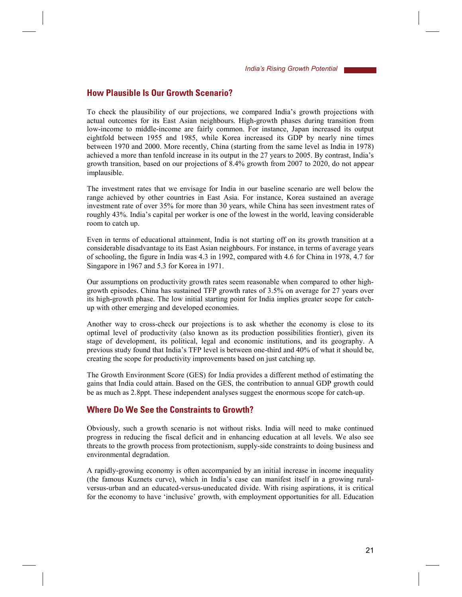# **How Plausible Is Our Growth Scenario?**

To check the plausibility of our projections, we compared Indiaís growth projections with actual outcomes for its East Asian neighbours. High-growth phases during transition from low-income to middle-income are fairly common. For instance, Japan increased its output eightfold between 1955 and 1985, while Korea increased its GDP by nearly nine times between 1970 and 2000. More recently, China (starting from the same level as India in 1978) achieved a more than tenfold increase in its output in the 27 years to 2005. By contrast, Indiaís growth transition, based on our projections of 8.4% growth from 2007 to 2020, do not appear implausible.

The investment rates that we envisage for India in our baseline scenario are well below the range achieved by other countries in East Asia. For instance, Korea sustained an average investment rate of over 35% for more than 30 years, while China has seen investment rates of roughly 43%. India's capital per worker is one of the lowest in the world, leaving considerable room to catch up.

Even in terms of educational attainment, India is not starting off on its growth transition at a considerable disadvantage to its East Asian neighbours. For instance, in terms of average years of schooling, the figure in India was 4.3 in 1992, compared with 4.6 for China in 1978, 4.7 for Singapore in 1967 and 5.3 for Korea in 1971.

Our assumptions on productivity growth rates seem reasonable when compared to other highgrowth episodes. China has sustained TFP growth rates of 3.5% on average for 27 years over its high-growth phase. The low initial starting point for India implies greater scope for catchup with other emerging and developed economies.

Another way to cross-check our projections is to ask whether the economy is close to its optimal level of productivity (also known as its production possibilities frontier), given its stage of development, its political, legal and economic institutions, and its geography. A previous study found that Indiaís TFP level is between one-third and 40% of what it should be, creating the scope for productivity improvements based on just catching up.

The Growth Environment Score (GES) for India provides a different method of estimating the gains that India could attain. Based on the GES, the contribution to annual GDP growth could be as much as 2.8ppt. These independent analyses suggest the enormous scope for catch-up.

# **Where Do We See the Constraints to Growth?**

Obviously, such a growth scenario is not without risks. India will need to make continued progress in reducing the fiscal deficit and in enhancing education at all levels. We also see threats to the growth process from protectionism, supply-side constraints to doing business and environmental degradation.

A rapidly-growing economy is often accompanied by an initial increase in income inequality (the famous Kuznets curve), which in Indiaís case can manifest itself in a growing ruralversus-urban and an educated-versus-uneducated divide. With rising aspirations, it is critical for the economy to have 'inclusive' growth, with employment opportunities for all. Education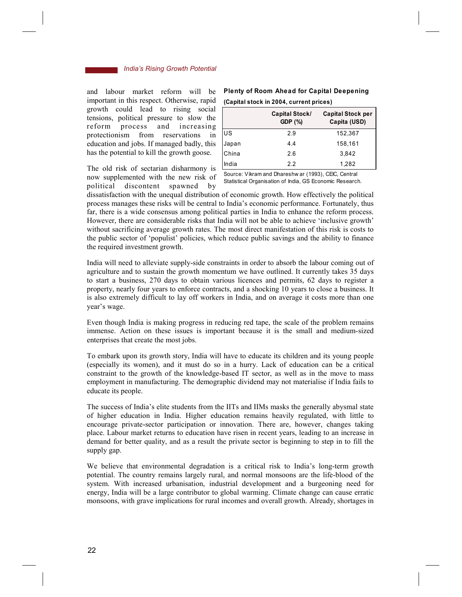and labour market reform will be important in this respect. Otherwise, rapid growth could lead to rising social tensions, political pressure to slow the reform process and increasing protectionism from reservations in education and jobs. If managed badly, this has the potential to kill the growth goose.

The old risk of sectarian disharmony is now supplemented with the new risk of political discontent spawned by

| (Capital stock in 2004, current prices) |                                         |                                          |  |  |  |
|-----------------------------------------|-----------------------------------------|------------------------------------------|--|--|--|
|                                         | <b>Capital Stock/</b><br><b>GDP</b> (%) | <b>Capital Stock per</b><br>Capita (USD) |  |  |  |
| lus                                     | 2.9                                     | 152,367                                  |  |  |  |
| Japan                                   | 44                                      | 158.161                                  |  |  |  |
| China                                   | 2.6                                     | 3,842                                    |  |  |  |
| India                                   | 2.2                                     | 1.282                                    |  |  |  |

# **Plenty of Room Ahead for Capital Deepening**

Source: Vikram and Dhareshw ar (1993), CEIC, Central Statistical Organisation of India, GS Economic Research.

dissatisfaction with the unequal distribution of economic growth. How effectively the political process manages these risks will be central to Indiaís economic performance. Fortunately, thus far, there is a wide consensus among political parties in India to enhance the reform process. However, there are considerable risks that India will not be able to achieve 'inclusive growth' without sacrificing average growth rates. The most direct manifestation of this risk is costs to the public sector of 'populist' policies, which reduce public savings and the ability to finance the required investment growth.

H

India will need to alleviate supply-side constraints in order to absorb the labour coming out of agriculture and to sustain the growth momentum we have outlined. It currently takes 35 days to start a business, 270 days to obtain various licences and permits, 62 days to register a property, nearly four years to enforce contracts, and a shocking 10 years to close a business. It is also extremely difficult to lay off workers in India, and on average it costs more than one year's wage.

Even though India is making progress in reducing red tape, the scale of the problem remains immense. Action on these issues is important because it is the small and medium-sized enterprises that create the most jobs.

To embark upon its growth story, India will have to educate its children and its young people (especially its women), and it must do so in a hurry. Lack of education can be a critical constraint to the growth of the knowledge-based IT sector, as well as in the move to mass employment in manufacturing. The demographic dividend may not materialise if India fails to educate its people.

The success of Indiaís elite students from the IITs and IIMs masks the generally abysmal state of higher education in India. Higher education remains heavily regulated, with little to encourage private-sector participation or innovation. There are, however, changes taking place. Labour market returns to education have risen in recent years, leading to an increase in demand for better quality, and as a result the private sector is beginning to step in to fill the supply gap.

We believe that environmental degradation is a critical risk to India's long-term growth potential. The country remains largely rural, and normal monsoons are the life-blood of the system. With increased urbanisation, industrial development and a burgeoning need for energy, India will be a large contributor to global warming. Climate change can cause erratic monsoons, with grave implications for rural incomes and overall growth. Already, shortages in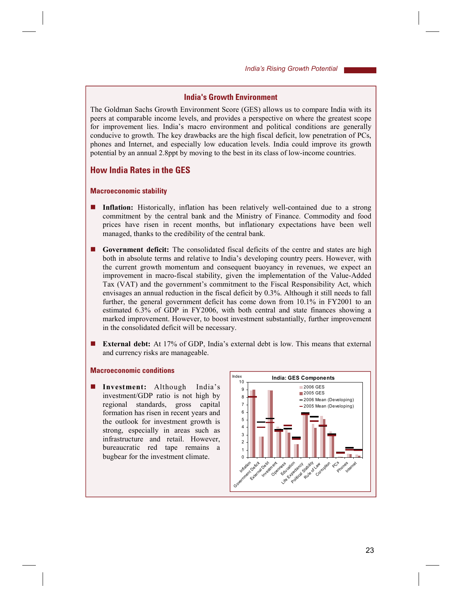# **India's Growth Environment**

The Goldman Sachs Growth Environment Score (GES) allows us to compare India with its peers at comparable income levels, and provides a perspective on where the greatest scope for improvement lies. Indiaís macro environment and political conditions are generally conducive to growth. The key drawbacks are the high fiscal deficit, low penetration of PCs, phones and Internet, and especially low education levels. India could improve its growth potential by an annual 2.8ppt by moving to the best in its class of low-income countries.

# **How India Rates in the GES**

#### **Macroeconomic stability**

- **Inflation:** Historically, inflation has been relatively well-contained due to a strong commitment by the central bank and the Ministry of Finance. Commodity and food prices have risen in recent months, but inflationary expectations have been well managed, thanks to the credibility of the central bank.
- ! **Government deficit:** The consolidated fiscal deficits of the centre and states are high both in absolute terms and relative to India's developing country peers. However, with the current growth momentum and consequent buoyancy in revenues, we expect an improvement in macro-fiscal stability, given the implementation of the Value-Added Tax (VAT) and the government's commitment to the Fiscal Responsibility Act, which envisages an annual reduction in the fiscal deficit by 0.3%. Although it still needs to fall further, the general government deficit has come down from 10.1% in FY2001 to an estimated 6.3% of GDP in FY2006, with both central and state finances showing a marked improvement. However, to boost investment substantially, further improvement in the consolidated deficit will be necessary.
- **External debt:** At 17% of GDP, India's external debt is low. This means that external and currency risks are manageable.

### **Macroeconomic conditions**

**I** Investment: Although India's investment/GDP ratio is not high by regional standards, gross capital formation has risen in recent years and the outlook for investment growth is strong, especially in areas such as infrastructure and retail. However, bureaucratic red tape remains a bugbear for the investment climate.

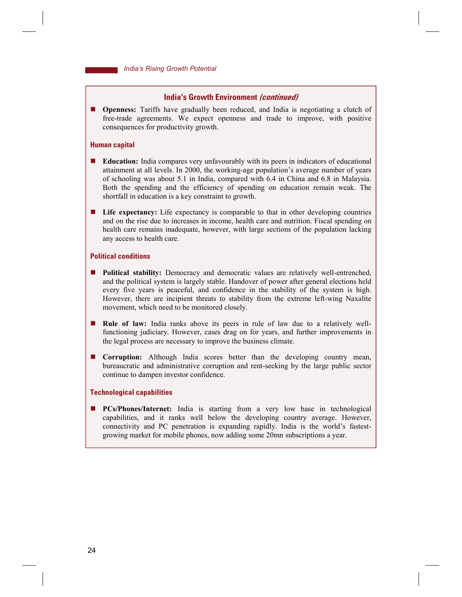### **India's Growth Environment (continued)**

**Openness:** Tariffs have gradually been reduced, and India is negotiating a clutch of free-trade agreements. We expect openness and trade to improve, with positive consequences for productivity growth.

#### **Human capital**

- ! **Education:** India compares very unfavourably with its peers in indicators of educational attainment at all levels. In 2000, the working-age population's average number of years of schooling was about 5.1 in India, compared with 6.4 in China and 6.8 in Malaysia. Both the spending and the efficiency of spending on education remain weak. The shortfall in education is a key constraint to growth.
- **If Life expectancy:** Life expectancy is comparable to that in other developing countries and on the rise due to increases in income, health care and nutrition. Fiscal spending on health care remains inadequate, however, with large sections of the population lacking any access to health care.

#### **Political conditions**

- **Political stability:** Democracy and democratic values are relatively well-entrenched, and the political system is largely stable. Handover of power after general elections held every five years is peaceful, and confidence in the stability of the system is high. However, there are incipient threats to stability from the extreme left-wing Naxalite movement, which need to be monitored closely.
- ! **Rule of law:** India ranks above its peers in rule of law due to a relatively wellfunctioning judiciary. However, cases drag on for years, and further improvements in the legal process are necessary to improve the business climate.
- ! **Corruption:** Although India scores better than the developing country mean, bureaucratic and administrative corruption and rent-seeking by the large public sector continue to dampen investor confidence.

### **Technological capabilities**

**PCs/Phones/Internet:** India is starting from a very low base in technological capabilities, and it ranks well below the developing country average. However, connectivity and PC penetration is expanding rapidly. India is the world's fastestgrowing market for mobile phones, now adding some 20mn subscriptions a year.